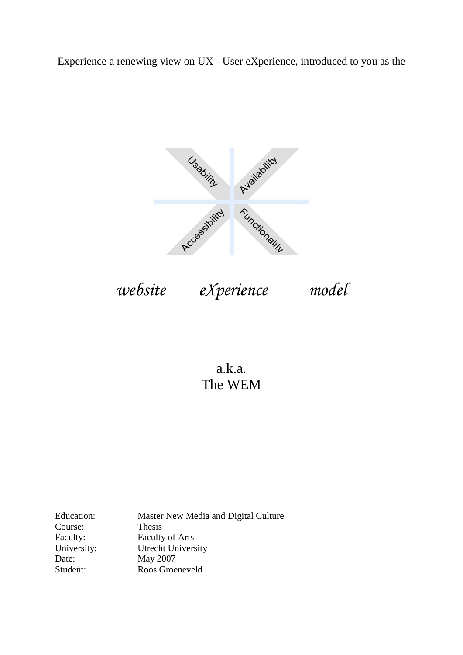Experience a renewing view on UX - User eXperience, introduced to you as the



*website eXperience model*

a.k.a. The WEM

Education: Master New Media and Digital Culture Course: Thesis Faculty: Faculty of Arts University: Utrecht University<br>Date: May 2007 May 2007 Student: Roos Groeneveld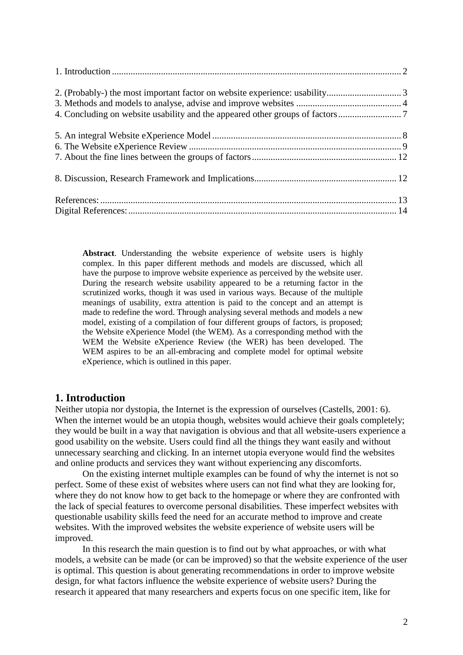**Abstract**. Understanding the website experience of website users is highly complex. In this paper different methods and models are discussed, which all have the purpose to improve website experience as perceived by the website user. During the research website usability appeared to be a returning factor in the scrutinized works, though it was used in various ways. Because of the multiple meanings of usability, extra attention is paid to the concept and an attempt is made to redefine the word. Through analysing several methods and models a new model, existing of a compilation of four different groups of factors, is proposed; the Website eXperience Model (the WEM). As a corresponding method with the WEM the Website eXperience Review (the WER) has been developed. The WEM aspires to be an all-embracing and complete model for optimal website eXperience, which is outlined in this paper.

## <span id="page-1-0"></span>**1. Introduction**

Neither utopia nor dystopia, the Internet is the expression of ourselves (Castells, 2001: 6). When the internet would be an utopia though, websites would achieve their goals completely; they would be built in a way that navigation is obvious and that all website-users experience a good usability on the website. Users could find all the things they want easily and without unnecessary searching and clicking. In an internet utopia everyone would find the websites and online products and services they want without experiencing any discomforts.

On the existing internet multiple examples can be found of why the internet is not so perfect. Some of these exist of websites where users can not find what they are looking for, where they do not know how to get back to the homepage or where they are confronted with the lack of special features to overcome personal disabilities. These imperfect websites with questionable usability skills feed the need for an accurate method to improve and create websites. With the improved websites the website experience of website users will be improved.

In this research the main question is to find out by what approaches, or with what models, a website can be made (or can be improved) so that the website experience of the user is optimal. This question is about generating recommendations in order to improve website design, for what factors influence the website experience of website users? During the research it appeared that many researchers and experts focus on one specific item, like for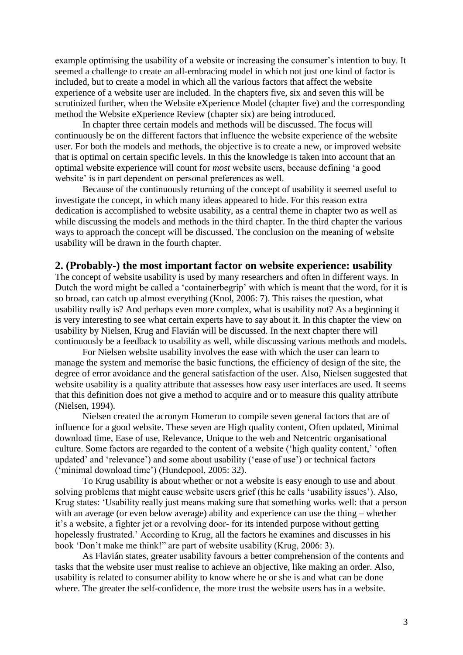example optimising the usability of a website or increasing the consumer's intention to buy. It seemed a challenge to create an all-embracing model in which not just one kind of factor is included, but to create a model in which all the various factors that affect the website experience of a website user are included. In the chapters five, six and seven this will be scrutinized further, when the Website eXperience Model (chapter five) and the corresponding method the Website eXperience Review (chapter six) are being introduced.

In chapter three certain models and methods will be discussed. The focus will continuously be on the different factors that influence the website experience of the website user. For both the models and methods, the objective is to create a new, or improved website that is optimal on certain specific levels. In this the knowledge is taken into account that an optimal website experience will count for *most* website users, because defining 'a good website' is in part dependent on personal preferences as well.

Because of the continuously returning of the concept of usability it seemed useful to investigate the concept, in which many ideas appeared to hide. For this reason extra dedication is accomplished to website usability, as a central theme in chapter two as well as while discussing the models and methods in the third chapter. In the third chapter the various ways to approach the concept will be discussed. The conclusion on the meaning of website usability will be drawn in the fourth chapter.

#### <span id="page-2-0"></span>**2. (Probably-) the most important factor on website experience: usability**

The concept of website usability is used by many researchers and often in different ways. In Dutch the word might be called a 'containerbegrip' with which is meant that the word, for it is so broad, can catch up almost everything (Knol, 2006: 7). This raises the question, what usability really is? And perhaps even more complex, what is usability not? As a beginning it is very interesting to see what certain experts have to say about it. In this chapter the view on usability by Nielsen, Krug and Flavián will be discussed. In the next chapter there will continuously be a feedback to usability as well, while discussing various methods and models.

For Nielsen website usability involves the ease with which the user can learn to manage the system and memorise the basic functions, the efficiency of design of the site, the degree of error avoidance and the general satisfaction of the user. Also, Nielsen suggested that website usability is a quality attribute that assesses how easy user interfaces are used. It seems that this definition does not give a method to acquire and or to measure this quality attribute (Nielsen, 1994).

Nielsen created the acronym Homerun to compile seven general factors that are of influence for a good website. These seven are High quality content, Often updated, Minimal download time, Ease of use, Relevance, Unique to the web and Netcentric organisational culture. Some factors are regarded to the content of a website ('high quality content,' 'often updated' and 'relevance') and some about usability ('ease of use') or technical factors ('minimal download time') (Hundepool, 2005: 32).

To Krug usability is about whether or not a website is easy enough to use and about solving problems that might cause website users grief (this he calls 'usability issues'). Also, Krug states: 'Usability really just means making sure that something works well: that a person with an average (or even below average) ability and experience can use the thing – whether it's a website, a fighter jet or a revolving door- for its intended purpose without getting hopelessly frustrated.' According to Krug, all the factors he examines and discusses in his book 'Don't make me think!" are part of website usability (Krug, 2006: 3).

As Flavián states, greater usability favours a better comprehension of the contents and tasks that the website user must realise to achieve an objective, like making an order. Also, usability is related to consumer ability to know where he or she is and what can be done where. The greater the self-confidence, the more trust the website users has in a website.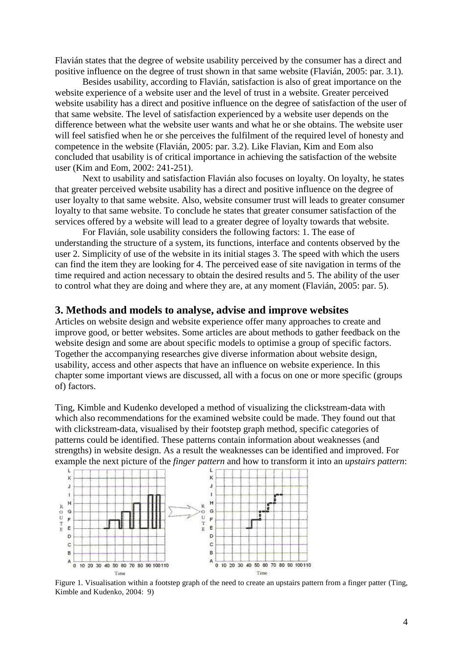Flavián states that the degree of website usability perceived by the consumer has a direct and positive influence on the degree of trust shown in that same website (Flavián, 2005: par. 3.1).

Besides usability, according to Flavián, satisfaction is also of great importance on the website experience of a website user and the level of trust in a website. Greater perceived website usability has a direct and positive influence on the degree of satisfaction of the user of that same website. The level of satisfaction experienced by a website user depends on the difference between what the website user wants and what he or she obtains. The website user will feel satisfied when he or she perceives the fulfilment of the required level of honesty and competence in the website (Flavián, 2005: par. 3.2). Like Flavian, Kim and Eom also concluded that usability is of critical importance in achieving the satisfaction of the website user (Kim and Eom, 2002: 241-251).

Next to usability and satisfaction Flavián also focuses on loyalty. On loyalty, he states that greater perceived website usability has a direct and positive influence on the degree of user loyalty to that same website. Also, website consumer trust will leads to greater consumer loyalty to that same website. To conclude he states that greater consumer satisfaction of the services offered by a website will lead to a greater degree of loyalty towards that website.

For Flavián, sole usability considers the following factors: 1. The ease of understanding the structure of a system, its functions, interface and contents observed by the user 2. Simplicity of use of the website in its initial stages 3. The speed with which the users can find the item they are looking for 4. The perceived ease of site navigation in terms of the time required and action necessary to obtain the desired results and 5. The ability of the user to control what they are doing and where they are, at any moment (Flavián, 2005: par. 5).

#### <span id="page-3-0"></span>**3. Methods and models to analyse, advise and improve websites**

Articles on website design and website experience offer many approaches to create and improve good, or better websites. Some articles are about methods to gather feedback on the website design and some are about specific models to optimise a group of specific factors. Together the accompanying researches give diverse information about website design, usability, access and other aspects that have an influence on website experience. In this chapter some important views are discussed, all with a focus on one or more specific (groups of) factors.

Ting, Kimble and Kudenko developed a method of visualizing the clickstream-data with which also recommendations for the examined website could be made. They found out that with clickstream-data, visualised by their footstep graph method, specific categories of patterns could be identified. These patterns contain information about weaknesses (and strengths) in website design. As a result the weaknesses can be identified and improved. For



Figure 1. Visualisation within a footstep graph of the need to create an upstairs pattern from a finger patter (Ting, Kimble and Kudenko, 2004: 9)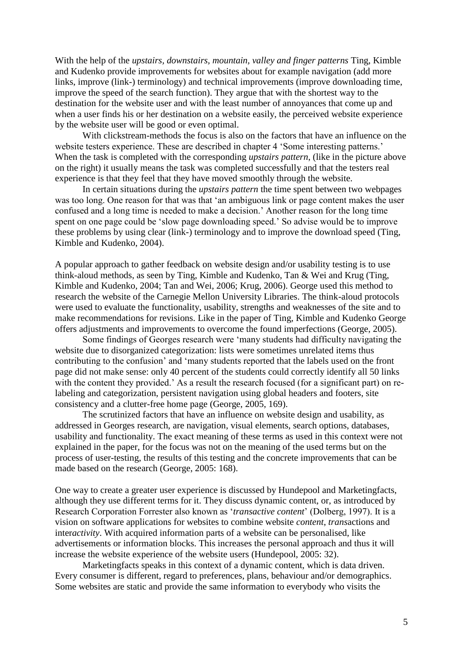With the help of the *upstairs, downstairs, mountain, valley and finger patterns* Ting, Kimble and Kudenko provide improvements for websites about for example navigation (add more links, improve (link-) terminology) and technical improvements (improve downloading time, improve the speed of the search function). They argue that with the shortest way to the destination for the website user and with the least number of annoyances that come up and when a user finds his or her destination on a website easily, the perceived website experience by the website user will be good or even optimal.

With clickstream-methods the focus is also on the factors that have an influence on the website testers experience. These are described in chapter 4 'Some interesting patterns.' When the task is completed with the corresponding *upstairs pattern*, (like in the picture above on the right) it usually means the task was completed successfully and that the testers real experience is that they feel that they have moved smoothly through the website.

In certain situations during the *upstairs pattern* the time spent between two webpages was too long. One reason for that was that 'an ambiguous link or page content makes the user confused and a long time is needed to make a decision.' Another reason for the long time spent on one page could be 'slow page downloading speed.' So advise would be to improve these problems by using clear (link-) terminology and to improve the download speed (Ting, Kimble and Kudenko, 2004).

A popular approach to gather feedback on website design and/or usability testing is to use think-aloud methods, as seen by Ting, Kimble and Kudenko, Tan & Wei and Krug (Ting, Kimble and Kudenko, 2004; Tan and Wei, 2006; Krug, 2006). George used this method to research the website of the Carnegie Mellon University Libraries. The think-aloud protocols were used to evaluate the functionality, usability, strengths and weaknesses of the site and to make recommendations for revisions. Like in the paper of Ting, Kimble and Kudenko George offers adjustments and improvements to overcome the found imperfections (George, 2005).

Some findings of Georges research were 'many students had difficulty navigating the website due to disorganized categorization: lists were sometimes unrelated items thus contributing to the confusion' and 'many students reported that the labels used on the front page did not make sense: only 40 percent of the students could correctly identify all 50 links with the content they provided.' As a result the research focused (for a significant part) on relabeling and categorization, persistent navigation using global headers and footers, site consistency and a clutter-free home page (George, 2005, 169).

The scrutinized factors that have an influence on website design and usability, as addressed in Georges research, are navigation, visual elements, search options, databases, usability and functionality. The exact meaning of these terms as used in this context were not explained in the paper, for the focus was not on the meaning of the used terms but on the process of user-testing, the results of this testing and the concrete improvements that can be made based on the research (George, 2005: 168).

One way to create a greater user experience is discussed by Hundepool and Marketingfacts, although they use different terms for it. They discuss dynamic content, or, as introduced by Research Corporation Forrester also known as '*transactive content*' (Dolberg, 1997). It is a vision on software applications for websites to combine website *content*, *trans*actions and inter*activity*. With acquired information parts of a website can be personalised, like advertisements or information blocks. This increases the personal approach and thus it will increase the website experience of the website users (Hundepool, 2005: 32).

Marketingfacts speaks in this context of a dynamic content, which is data driven. Every consumer is different, regard to preferences, plans, behaviour and/or demographics. Some websites are static and provide the same information to everybody who visits the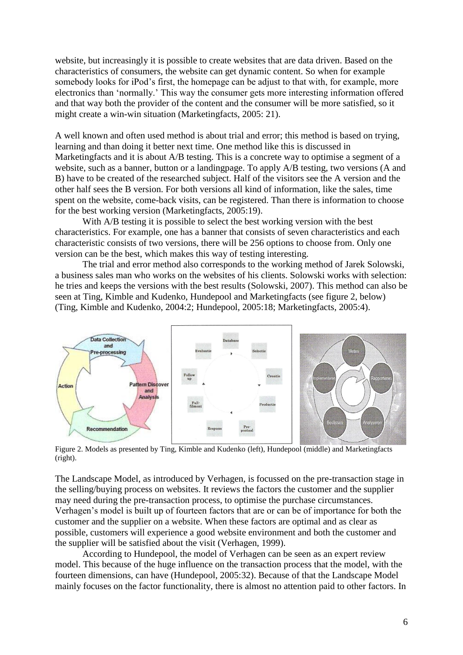website, but increasingly it is possible to create websites that are data driven. Based on the characteristics of consumers, the website can get dynamic content. So when for example somebody looks for iPod's first, the homepage can be adjust to that with, for example, more electronics than 'normally.' This way the consumer gets more interesting information offered and that way both the provider of the content and the consumer will be more satisfied, so it might create a win-win situation (Marketingfacts, 2005: 21).

A well known and often used method is about trial and error; this method is based on trying, learning and than doing it better next time. One method like this is discussed in Marketingfacts and it is about A/B testing. This is a concrete way to optimise a segment of a website, such as a banner, button or a landingpage. To apply A/B testing, two versions (A and B) have to be created of the researched subject. Half of the visitors see the A version and the other half sees the B version. For both versions all kind of information, like the sales, time spent on the website, come-back visits, can be registered. Than there is information to choose for the best working version (Marketingfacts, 2005:19).

With A/B testing it is possible to select the best working version with the best characteristics. For example, one has a banner that consists of seven characteristics and each characteristic consists of two versions, there will be 256 options to choose from. Only one version can be the best, which makes this way of testing interesting.

The trial and error method also corresponds to the working method of Jarek Solowski, a business sales man who works on the websites of his clients. Solowski works with selection: he tries and keeps the versions with the best results (Solowski, 2007). This method can also be seen at Ting, Kimble and Kudenko, Hundepool and Marketingfacts (see figure 2, below) (Ting, Kimble and Kudenko, 2004:2; Hundepool, 2005:18; Marketingfacts, 2005:4).



Figure 2. Models as presented by Ting, Kimble and Kudenko (left), Hundepool (middle) and Marketingfacts (right).

The Landscape Model, as introduced by Verhagen, is focussed on the pre-transaction stage in the selling/buying process on websites. It reviews the factors the customer and the supplier may need during the pre-transaction process, to optimise the purchase circumstances. Verhagen's model is built up of fourteen factors that are or can be of importance for both the customer and the supplier on a website. When these factors are optimal and as clear as possible, customers will experience a good website environment and both the customer and the supplier will be satisfied about the visit (Verhagen, 1999).

According to Hundepool, the model of Verhagen can be seen as an expert review model. This because of the huge influence on the transaction process that the model, with the fourteen dimensions, can have (Hundepool, 2005:32). Because of that the Landscape Model mainly focuses on the factor functionality, there is almost no attention paid to other factors. In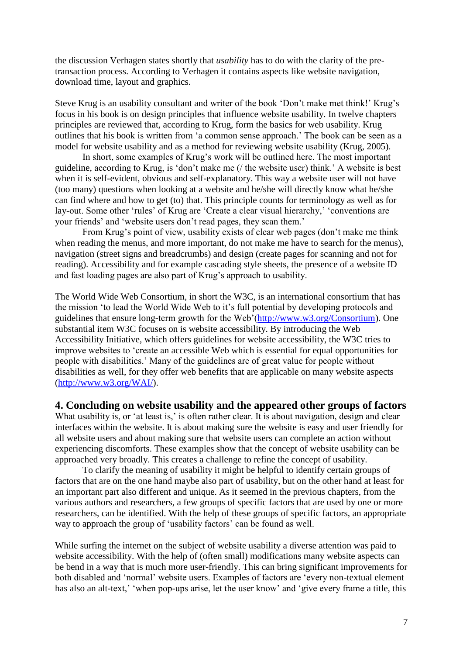the discussion Verhagen states shortly that *usability* has to do with the clarity of the pretransaction process. According to Verhagen it contains aspects like website navigation, download time, layout and graphics.

Steve Krug is an usability consultant and writer of the book 'Don't make met think!' Krug's focus in his book is on design principles that influence website usability. In twelve chapters principles are reviewed that, according to Krug, form the basics for web usability. Krug outlines that his book is written from 'a common sense approach.' The book can be seen as a model for website usability and as a method for reviewing website usability (Krug, 2005).

In short, some examples of Krug's work will be outlined here. The most important guideline, according to Krug, is 'don't make me (/ the website user) think.' A website is best when it is self-evident, obvious and self-explanatory. This way a website user will not have (too many) questions when looking at a website and he/she will directly know what he/she can find where and how to get (to) that. This principle counts for terminology as well as for lay-out. Some other 'rules' of Krug are 'Create a clear visual hierarchy,' 'conventions are your friends' and 'website users don't read pages, they scan them.'

From Krug's point of view, usability exists of clear web pages (don't make me think when reading the menus, and more important, do not make me have to search for the menus), navigation (street signs and breadcrumbs) and design (create pages for scanning and not for reading). Accessibility and for example cascading style sheets, the presence of a website ID and fast loading pages are also part of Krug's approach to usability.

The World Wide Web Consortium, in short the W3C, is an international consortium that has the mission 'to lead the World Wide Web to it's full potential by developing protocols and guidelines that ensure long-term growth for the Web'[\(http://www.w3.org/Consortium\)](http://www.w3.org/Consortium). One substantial item W3C focuses on is website accessibility. By introducing the Web Accessibility Initiative, which offers guidelines for website accessibility, the W3C tries to improve websites to 'create an accessible Web which is essential for equal opportunities for people with disabilities.' Many of the guidelines are of great value for people without disabilities as well, for they offer web benefits that are applicable on many website aspects [\(http://www.w3.org/WAI/\)](http://www.w3.org/WAI/).

## <span id="page-6-0"></span>**4. Concluding on website usability and the appeared other groups of factors**

What usability is, or 'at least is,' is often rather clear. It is about navigation, design and clear interfaces within the website. It is about making sure the website is easy and user friendly for all website users and about making sure that website users can complete an action without experiencing discomforts. These examples show that the concept of website usability can be approached very broadly. This creates a challenge to refine the concept of usability.

To clarify the meaning of usability it might be helpful to identify certain groups of factors that are on the one hand maybe also part of usability, but on the other hand at least for an important part also different and unique. As it seemed in the previous chapters, from the various authors and researchers, a few groups of specific factors that are used by one or more researchers, can be identified. With the help of these groups of specific factors, an appropriate way to approach the group of 'usability factors' can be found as well.

While surfing the internet on the subject of website usability a diverse attention was paid to website accessibility. With the help of (often small) modifications many website aspects can be bend in a way that is much more user-friendly. This can bring significant improvements for both disabled and 'normal' website users. Examples of factors are 'every non-textual element has also an alt-text,' 'when pop-ups arise, let the user know' and 'give every frame a title, this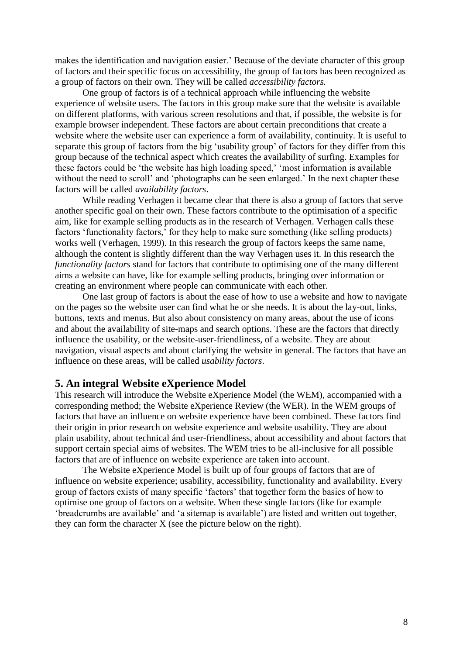makes the identification and navigation easier.' Because of the deviate character of this group of factors and their specific focus on accessibility, the group of factors has been recognized as a group of factors on their own. They will be called *accessibility factors.* 

One group of factors is of a technical approach while influencing the website experience of website users. The factors in this group make sure that the website is available on different platforms, with various screen resolutions and that, if possible, the website is for example browser independent. These factors are about certain preconditions that create a website where the website user can experience a form of availability, continuity. It is useful to separate this group of factors from the big 'usability group' of factors for they differ from this group because of the technical aspect which creates the availability of surfing. Examples for these factors could be 'the website has high loading speed,' 'most information is available without the need to scroll' and 'photographs can be seen enlarged.' In the next chapter these factors will be called *availability factors*.

While reading Verhagen it became clear that there is also a group of factors that serve another specific goal on their own. These factors contribute to the optimisation of a specific aim, like for example selling products as in the research of Verhagen. Verhagen calls these factors 'functionality factors,' for they help to make sure something (like selling products) works well (Verhagen, 1999). In this research the group of factors keeps the same name, although the content is slightly different than the way Verhagen uses it. In this research the *functionality factors* stand for factors that contribute to optimising one of the many different aims a website can have, like for example selling products, bringing over information or creating an environment where people can communicate with each other.

One last group of factors is about the ease of how to use a website and how to navigate on the pages so the website user can find what he or she needs. It is about the lay-out, links, buttons, texts and menus. But also about consistency on many areas, about the use of icons and about the availability of site-maps and search options. These are the factors that directly influence the usability, or the website-user-friendliness, of a website. They are about navigation, visual aspects and about clarifying the website in general. The factors that have an influence on these areas, will be called *usability factors*.

#### <span id="page-7-0"></span>**5. An integral Website eXperience Model**

This research will introduce the Website eXperience Model (the WEM), accompanied with a corresponding method; the Website eXperience Review (the WER). In the WEM groups of factors that have an influence on website experience have been combined. These factors find their origin in prior research on website experience and website usability. They are about plain usability, about technical ánd user-friendliness, about accessibility and about factors that support certain special aims of websites. The WEM tries to be all-inclusive for all possible factors that are of influence on website experience are taken into account.

The Website eXperience Model is built up of four groups of factors that are of influence on website experience; usability, accessibility, functionality and availability. Every group of factors exists of many specific 'factors' that together form the basics of how to optimise one group of factors on a website. When these single factors (like for example 'breadcrumbs are available' and 'a sitemap is available') are listed and written out together, they can form the character X (see the picture below on the right).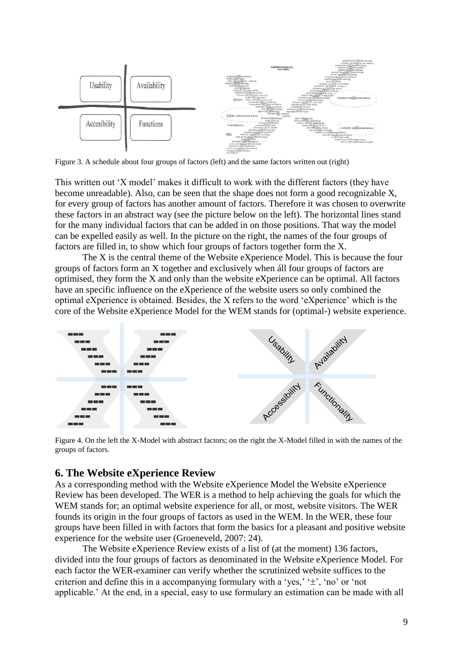

Figure 3. A schedule about four groups of factors (left) and the same factors written out (right)

This written out 'X model' makes it difficult to work with the different factors (they have become unreadable). Also, can be seen that the shape does not form a good recognizable X, for every group of factors has another amount of factors. Therefore it was chosen to overwrite these factors in an abstract way (see the picture below on the left). The horizontal lines stand for the many individual factors that can be added in on those positions. That way the model can be expelled easily as well. In the picture on the right, the names of the four groups of factors are filled in, to show which four groups of factors together form the X.

The X is the central theme of the Website eXperience Model. This is because the four groups of factors form an X together and exclusively when áll four groups of factors are optimised, they form the X and only than the website eXperience can be optimal. All factors have an specific influence on the eXperience of the website users so only combined the optimal eXperience is obtained. Besides, the X refers to the word 'eXperience' which is the core of the Website eXperience Model for the WEM stands for (optimal-) website experience.



Figure 4. On the left the X-Model with abstract factors; on the right the X-Model filled in with the names of the groups of factors.

# <span id="page-8-0"></span>**6. The Website eXperience Review**

As a corresponding method with the Website eXperience Model the Website eXperience Review has been developed. The WER is a method to help achieving the goals for which the WEM stands for; an optimal website experience for all, or most, website visitors. The WER founds its origin in the four groups of factors as used in the WEM. In the WER, these four groups have been filled in with factors that form the basics for a pleasant and positive website experience for the website user (Groeneveld, 2007: 24).

The Website eXperience Review exists of a list of (at the moment) 136 factors, divided into the four groups of factors as denominated in the Website eXperience Model. For each factor the WER-examiner can verify whether the scrutinized website suffices to the criterion and define this in a accompanying formulary with a 'yes,'  $\pm$ ', 'no' or 'not applicable.' At the end, in a special, easy to use formulary an estimation can be made with all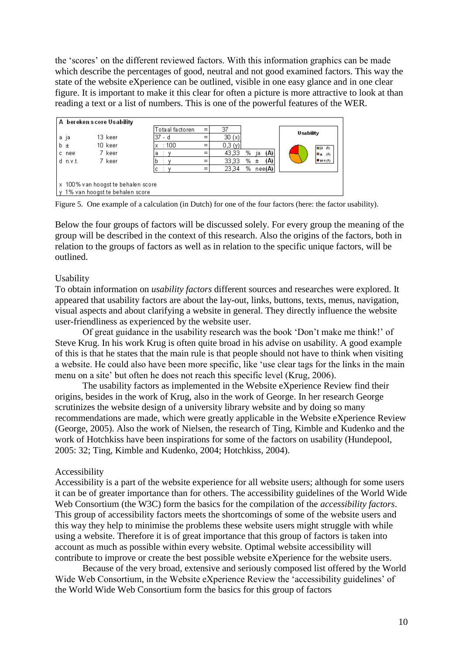the 'scores' on the different reviewed factors. With this information graphics can be made which describe the percentages of good, neutral and not good examined factors. This way the state of the website eXperience can be outlined, visible in one easy glance and in one clear figure. It is important to make it this clear for often a picture is more attractive to look at than reading a text or a list of numbers. This is one of the powerful features of the WER.

| A bereken score Usability                                                 |         |                 |     |        |                |                  |
|---------------------------------------------------------------------------|---------|-----------------|-----|--------|----------------|------------------|
|                                                                           |         | Totaal factoren | $=$ | 37     |                | <b>Usability</b> |
| a ja                                                                      | 13 keer | 37 - d          |     | 30(x)  |                |                  |
| b ±                                                                       | 10 keer | :100<br>x       |     | 0.3(y) |                | l⊟ja ⊛           |
| nee<br>c.                                                                 | 7 keer  | ٧<br>а          |     | 43,33  | %<br>(A)<br>ia | l⊟±<br>OV)       |
| d n.v.t.                                                                  | 7 keer  | b               | $=$ | 33,33  | %.<br>(A)<br>Ŧ | $P$ see $( A )$  |
|                                                                           |         |                 |     | 23,34  | %<br>nee(A)    |                  |
| x 100% van hoogst te behalen score<br>1% van hoogst te behalen score<br>M |         |                 |     |        |                |                  |

Figure 5. One example of a calculation (in Dutch) for one of the four factors (here: the factor usability).

Below the four groups of factors will be discussed solely. For every group the meaning of the group will be described in the context of this research. Also the origins of the factors, both in relation to the groups of factors as well as in relation to the specific unique factors, will be outlined.

## Usability

To obtain information on *usability factors* different sources and researches were explored. It appeared that usability factors are about the lay-out, links, buttons, texts, menus, navigation, visual aspects and about clarifying a website in general. They directly influence the website user-friendliness as experienced by the website user.

Of great guidance in the usability research was the book 'Don't make me think!' of Steve Krug. In his work Krug is often quite broad in his advise on usability. A good example of this is that he states that the main rule is that people should not have to think when visiting a website. He could also have been more specific, like 'use clear tags for the links in the main menu on a site' but often he does not reach this specific level (Krug, 2006).

The usability factors as implemented in the Website eXperience Review find their origins, besides in the work of Krug, also in the work of George. In her research George scrutinizes the website design of a university library website and by doing so many recommendations are made, which were greatly applicable in the Website eXperience Review (George, 2005). Also the work of Nielsen, the research of Ting, Kimble and Kudenko and the work of Hotchkiss have been inspirations for some of the factors on usability (Hundepool, 2005: 32; Ting, Kimble and Kudenko, 2004; Hotchkiss, 2004).

## Accessibility

Accessibility is a part of the website experience for all website users; although for some users it can be of greater importance than for others. The accessibility guidelines of the World Wide Web Consortium (the W3C) form the basics for the compilation of the *accessibility factors*. This group of accessibility factors meets the shortcomings of some of the website users and this way they help to minimise the problems these website users might struggle with while using a website. Therefore it is of great importance that this group of factors is taken into account as much as possible within every website. Optimal website accessibility will contribute to improve or create the best possible website eXperience for the website users.

Because of the very broad, extensive and seriously composed list offered by the World Wide Web Consortium, in the Website eXperience Review the 'accessibility guidelines' of the World Wide Web Consortium form the basics for this group of factors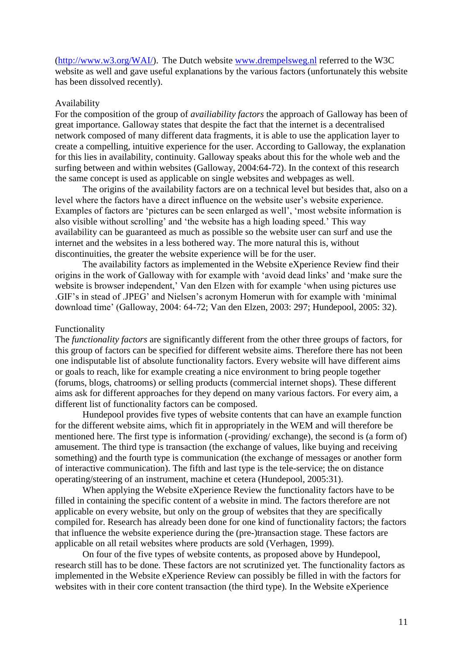[\(http://www.w3.org/WAI/\)](http://www.w3.org/WAI/). The Dutch website [www.drempelsweg.nl](http://www.drempelsweg.nl/) referred to the W3C website as well and gave useful explanations by the various factors (unfortunately this website has been dissolved recently).

#### Availability

For the composition of the group of *availiability factors* the approach of Galloway has been of great importance. Galloway states that despite the fact that the internet is a decentralised network composed of many different data fragments, it is able to use the application layer to create a compelling, intuitive experience for the user. According to Galloway, the explanation for this lies in availability, continuity. Galloway speaks about this for the whole web and the surfing between and within websites (Galloway, 2004:64-72). In the context of this research the same concept is used as applicable on single websites and webpages as well.

The origins of the availability factors are on a technical level but besides that, also on a level where the factors have a direct influence on the website user's website experience. Examples of factors are 'pictures can be seen enlarged as well', 'most website information is also visible without scrolling' and 'the website has a high loading speed.' This way availability can be guaranteed as much as possible so the website user can surf and use the internet and the websites in a less bothered way. The more natural this is, without discontinuities, the greater the website experience will be for the user.

The availability factors as implemented in the Website eXperience Review find their origins in the work of Galloway with for example with 'avoid dead links' and 'make sure the website is browser independent,' Van den Elzen with for example 'when using pictures use .GIF's in stead of .JPEG' and Nielsen's acronym Homerun with for example with 'minimal download time' (Galloway, 2004: 64-72; Van den Elzen, 2003: 297; Hundepool, 2005: 32).

#### Functionality

The *functionality factors* are significantly different from the other three groups of factors, for this group of factors can be specified for different website aims. Therefore there has not been one indisputable list of absolute functionality factors. Every website will have different aims or goals to reach, like for example creating a nice environment to bring people together (forums, blogs, chatrooms) or selling products (commercial internet shops). These different aims ask for different approaches for they depend on many various factors. For every aim, a different list of functionality factors can be composed.

Hundepool provides five types of website contents that can have an example function for the different website aims, which fit in appropriately in the WEM and will therefore be mentioned here. The first type is information (-providing/ exchange), the second is (a form of) amusement. The third type is transaction (the exchange of values, like buying and receiving something) and the fourth type is communication (the exchange of messages or another form of interactive communication). The fifth and last type is the tele-service; the on distance operating/steering of an instrument, machine et cetera (Hundepool, 2005:31).

When applying the Website eXperience Review the functionality factors have to be filled in containing the specific content of a website in mind. The factors therefore are not applicable on every website, but only on the group of websites that they are specifically compiled for. Research has already been done for one kind of functionality factors; the factors that influence the website experience during the (pre-)transaction stage. These factors are applicable on all retail websites where products are sold (Verhagen, 1999).

On four of the five types of website contents, as proposed above by Hundepool, research still has to be done. These factors are not scrutinized yet. The functionality factors as implemented in the Website eXperience Review can possibly be filled in with the factors for websites with in their core content transaction (the third type). In the Website eXperience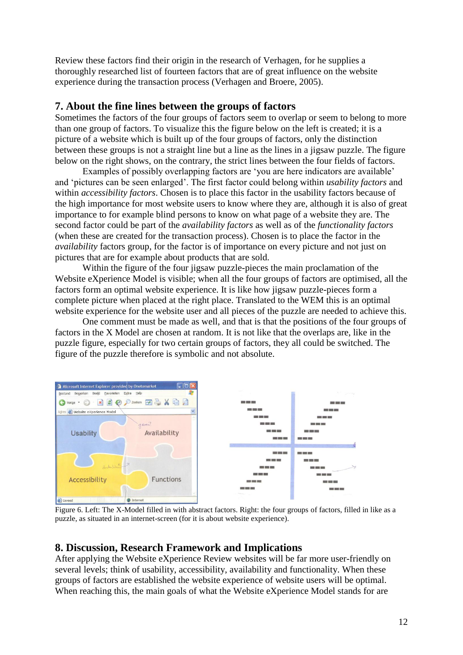Review these factors find their origin in the research of Verhagen, for he supplies a thoroughly researched list of fourteen factors that are of great influence on the website experience during the transaction process (Verhagen and Broere, 2005).

# <span id="page-11-0"></span>**7. About the fine lines between the groups of factors**

Sometimes the factors of the four groups of factors seem to overlap or seem to belong to more than one group of factors. To visualize this the figure below on the left is created; it is a picture of a website which is built up of the four groups of factors, only the distinction between these groups is not a straight line but a line as the lines in a jigsaw puzzle. The figure below on the right shows, on the contrary, the strict lines between the four fields of factors.

Examples of possibly overlapping factors are 'you are here indicators are available' and 'pictures can be seen enlarged'. The first factor could belong within *usability factors* and within *accessibility factors*. Chosen is to place this factor in the usability factors because of the high importance for most website users to know where they are, although it is also of great importance to for example blind persons to know on what page of a website they are. The second factor could be part of the *availability factors* as well as of the *functionality factors* (when these are created for the transaction process). Chosen is to place the factor in the *availability* factors group, for the factor is of importance on every picture and not just on pictures that are for example about products that are sold.

Within the figure of the four jigsaw puzzle-pieces the main proclamation of the Website eXperience Model is visible; when all the four groups of factors are optimised, all the factors form an optimal website experience. It is like how jigsaw puzzle-pieces form a complete picture when placed at the right place. Translated to the WEM this is an optimal website experience for the website user and all pieces of the puzzle are needed to achieve this.

One comment must be made as well, and that is that the positions of the four groups of factors in the X Model are chosen at random. It is not like that the overlaps are, like in the puzzle figure, especially for two certain groups of factors, they all could be switched. The figure of the puzzle therefore is symbolic and not absolute.



Figure 6. Left: The X-Model filled in with abstract factors. Right: the four groups of factors, filled in like as a puzzle, as situated in an internet-screen (for it is about website experience).

# <span id="page-11-1"></span>**8. Discussion, Research Framework and Implications**

After applying the Website eXperience Review websites will be far more user-friendly on several levels; think of usability, accessibility, availability and functionality. When these groups of factors are established the website experience of website users will be optimal. When reaching this, the main goals of what the Website eXperience Model stands for are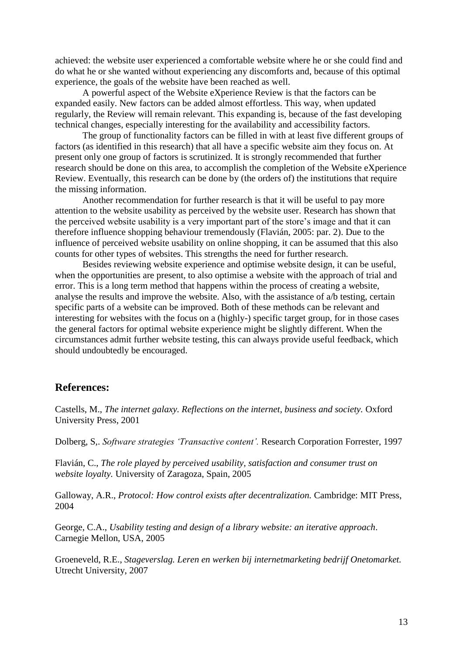achieved: the website user experienced a comfortable website where he or she could find and do what he or she wanted without experiencing any discomforts and, because of this optimal experience, the goals of the website have been reached as well.

A powerful aspect of the Website eXperience Review is that the factors can be expanded easily. New factors can be added almost effortless. This way, when updated regularly, the Review will remain relevant. This expanding is, because of the fast developing technical changes, especially interesting for the availability and accessibility factors.

The group of functionality factors can be filled in with at least five different groups of factors (as identified in this research) that all have a specific website aim they focus on. At present only one group of factors is scrutinized. It is strongly recommended that further research should be done on this area, to accomplish the completion of the Website eXperience Review. Eventually, this research can be done by (the orders of) the institutions that require the missing information.

Another recommendation for further research is that it will be useful to pay more attention to the website usability as perceived by the website user. Research has shown that the perceived website usability is a very important part of the store's image and that it can therefore influence shopping behaviour tremendously (Flavián, 2005: par. 2). Due to the influence of perceived website usability on online shopping, it can be assumed that this also counts for other types of websites. This strengths the need for further research.

Besides reviewing website experience and optimise website design, it can be useful, when the opportunities are present, to also optimise a website with the approach of trial and error. This is a long term method that happens within the process of creating a website, analyse the results and improve the website. Also, with the assistance of a/b testing, certain specific parts of a website can be improved. Both of these methods can be relevant and interesting for websites with the focus on a (highly-) specific target group, for in those cases the general factors for optimal website experience might be slightly different. When the circumstances admit further website testing, this can always provide useful feedback, which should undoubtedly be encouraged.

## <span id="page-12-0"></span>**References:**

Castells, M., *The internet galaxy. Reflections on the internet, business and society.* Oxford University Press, 2001

Dolberg, S,. *Software strategies 'Transactive content'.* Research Corporation Forrester, 1997

Flavián, C., *The role played by perceived usability, satisfaction and consumer trust on website loyalty.* University of Zaragoza, Spain, 2005

Galloway, A.R., *Protocol: How control exists after decentralization.* Cambridge: MIT Press, 2004

George, C.A., *Usability testing and design of a library website: an iterative approach*. Carnegie Mellon, USA, 2005

Groeneveld, R.E., *Stageverslag. Leren en werken bij internetmarketing bedrijf Onetomarket.* Utrecht University, 2007